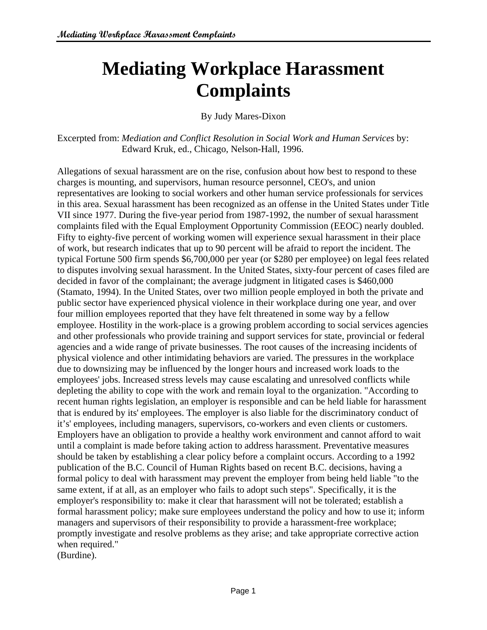# **Mediating Workplace Harassment Complaints**

By Judy Mares-Dixon

Excerpted from: *Mediation and Conflict Resolution in Social Work and Human Services* by: Edward Kruk, ed., Chicago, Nelson-Hall, 1996.

Allegations of sexual harassment are on the rise, confusion about how best to respond to these charges is mounting, and supervisors, human resource personnel, CEO's, and union representatives are looking to social workers and other human service professionals for services in this area. Sexual harassment has been recognized as an offense in the United States under Title VII since 1977. During the five-year period from 1987-1992, the number of sexual harassment complaints filed with the Equal Employment Opportunity Commission (EEOC) nearly doubled. Fifty to eighty-five percent of working women will experience sexual harassment in their place of work, but research indicates that up to 90 percent will be afraid to report the incident. The typical Fortune 500 firm spends \$6,700,000 per year (or \$280 per employee) on legal fees related to disputes involving sexual harassment. In the United States, sixty-four percent of cases filed are decided in favor of the complainant; the average judgment in litigated cases is \$460,000 (Stamato, 1994). In the United States, over two million people employed in both the private and public sector have experienced physical violence in their workplace during one year, and over four million employees reported that they have felt threatened in some way by a fellow employee. Hostility in the work-place is a growing problem according to social services agencies and other professionals who provide training and support services for state, provincial or federal agencies and a wide range of private businesses. The root causes of the increasing incidents of physical violence and other intimidating behaviors are varied. The pressures in the workplace due to downsizing may be influenced by the longer hours and increased work loads to the employees' jobs. Increased stress levels may cause escalating and unresolved conflicts while depleting the ability to cope with the work and remain loyal to the organization. "According to recent human rights legislation, an employer is responsible and can be held liable for harassment that is endured by its' employees. The employer is also liable for the discriminatory conduct of it's' employees, including managers, supervisors, co-workers and even clients or customers. Employers have an obligation to provide a healthy work environment and cannot afford to wait until a complaint is made before taking action to address harassment. Preventative measures should be taken by establishing a clear policy before a complaint occurs. According to a 1992 publication of the B.C. Council of Human Rights based on recent B.C. decisions, having a formal policy to deal with harassment may prevent the employer from being held liable "to the same extent, if at all, as an employer who fails to adopt such steps". Specifically, it is the employer's responsibility to: make it clear that harassment will not be tolerated; establish a formal harassment policy; make sure employees understand the policy and how to use it; inform managers and supervisors of their responsibility to provide a harassment-free workplace; promptly investigate and resolve problems as they arise; and take appropriate corrective action when required." (Burdine).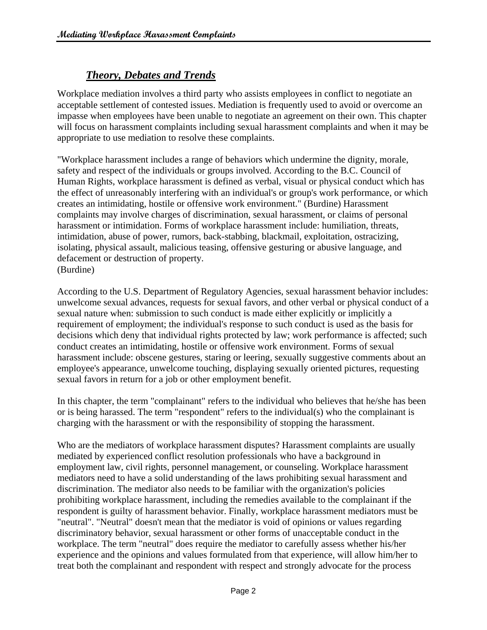## *Theory, Debates and Trends*

Workplace mediation involves a third party who assists employees in conflict to negotiate an acceptable settlement of contested issues. Mediation is frequently used to avoid or overcome an impasse when employees have been unable to negotiate an agreement on their own. This chapter will focus on harassment complaints including sexual harassment complaints and when it may be appropriate to use mediation to resolve these complaints.

"Workplace harassment includes a range of behaviors which undermine the dignity, morale, safety and respect of the individuals or groups involved. According to the B.C. Council of Human Rights, workplace harassment is defined as verbal, visual or physical conduct which has the effect of unreasonably interfering with an individual's or group's work performance, or which creates an intimidating, hostile or offensive work environment." (Burdine) Harassment complaints may involve charges of discrimination, sexual harassment, or claims of personal harassment or intimidation. Forms of workplace harassment include: humiliation, threats, intimidation, abuse of power, rumors, back-stabbing, blackmail, exploitation, ostracizing, isolating, physical assault, malicious teasing, offensive gesturing or abusive language, and defacement or destruction of property. (Burdine)

According to the U.S. Department of Regulatory Agencies, sexual harassment behavior includes: unwelcome sexual advances, requests for sexual favors, and other verbal or physical conduct of a sexual nature when: submission to such conduct is made either explicitly or implicitly a requirement of employment; the individual's response to such conduct is used as the basis for decisions which deny that individual rights protected by law; work performance is affected; such conduct creates an intimidating, hostile or offensive work environment. Forms of sexual harassment include: obscene gestures, staring or leering, sexually suggestive comments about an employee's appearance, unwelcome touching, displaying sexually oriented pictures, requesting sexual favors in return for a job or other employment benefit.

In this chapter, the term "complainant" refers to the individual who believes that he/she has been or is being harassed. The term "respondent" refers to the individual(s) who the complainant is charging with the harassment or with the responsibility of stopping the harassment.

Who are the mediators of workplace harassment disputes? Harassment complaints are usually mediated by experienced conflict resolution professionals who have a background in employment law, civil rights, personnel management, or counseling. Workplace harassment mediators need to have a solid understanding of the laws prohibiting sexual harassment and discrimination. The mediator also needs to be familiar with the organization's policies prohibiting workplace harassment, including the remedies available to the complainant if the respondent is guilty of harassment behavior. Finally, workplace harassment mediators must be "neutral". "Neutral" doesn't mean that the mediator is void of opinions or values regarding discriminatory behavior, sexual harassment or other forms of unacceptable conduct in the workplace. The term "neutral" does require the mediator to carefully assess whether his/her experience and the opinions and values formulated from that experience, will allow him/her to treat both the complainant and respondent with respect and strongly advocate for the process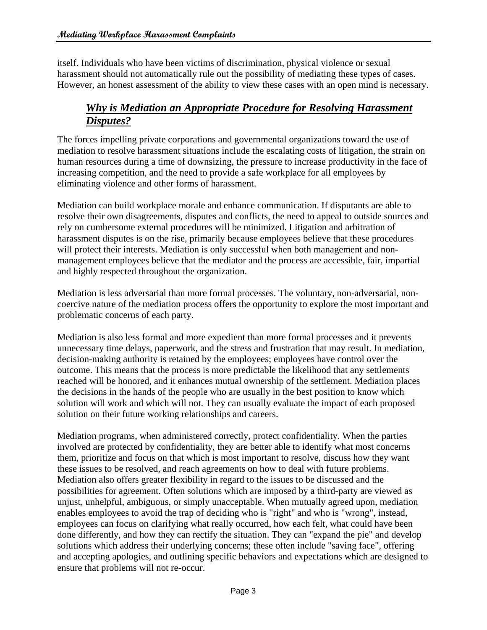itself. Individuals who have been victims of discrimination, physical violence or sexual harassment should not automatically rule out the possibility of mediating these types of cases. However, an honest assessment of the ability to view these cases with an open mind is necessary.

#### *Why is Mediation an Appropriate Procedure for Resolving Harassment Disputes?*

The forces impelling private corporations and governmental organizations toward the use of mediation to resolve harassment situations include the escalating costs of litigation, the strain on human resources during a time of downsizing, the pressure to increase productivity in the face of increasing competition, and the need to provide a safe workplace for all employees by eliminating violence and other forms of harassment.

Mediation can build workplace morale and enhance communication. If disputants are able to resolve their own disagreements, disputes and conflicts, the need to appeal to outside sources and rely on cumbersome external procedures will be minimized. Litigation and arbitration of harassment disputes is on the rise, primarily because employees believe that these procedures will protect their interests. Mediation is only successful when both management and nonmanagement employees believe that the mediator and the process are accessible, fair, impartial and highly respected throughout the organization.

Mediation is less adversarial than more formal processes. The voluntary, non-adversarial, noncoercive nature of the mediation process offers the opportunity to explore the most important and problematic concerns of each party.

Mediation is also less formal and more expedient than more formal processes and it prevents unnecessary time delays, paperwork, and the stress and frustration that may result. In mediation, decision-making authority is retained by the employees; employees have control over the outcome. This means that the process is more predictable the likelihood that any settlements reached will be honored, and it enhances mutual ownership of the settlement. Mediation places the decisions in the hands of the people who are usually in the best position to know which solution will work and which will not. They can usually evaluate the impact of each proposed solution on their future working relationships and careers.

Mediation programs, when administered correctly, protect confidentiality. When the parties involved are protected by confidentiality, they are better able to identify what most concerns them, prioritize and focus on that which is most important to resolve, discuss how they want these issues to be resolved, and reach agreements on how to deal with future problems. Mediation also offers greater flexibility in regard to the issues to be discussed and the possibilities for agreement. Often solutions which are imposed by a third-party are viewed as unjust, unhelpful, ambiguous, or simply unacceptable. When mutually agreed upon, mediation enables employees to avoid the trap of deciding who is "right" and who is "wrong", instead, employees can focus on clarifying what really occurred, how each felt, what could have been done differently, and how they can rectify the situation. They can "expand the pie" and develop solutions which address their underlying concerns; these often include "saving face", offering and accepting apologies, and outlining specific behaviors and expectations which are designed to ensure that problems will not re-occur.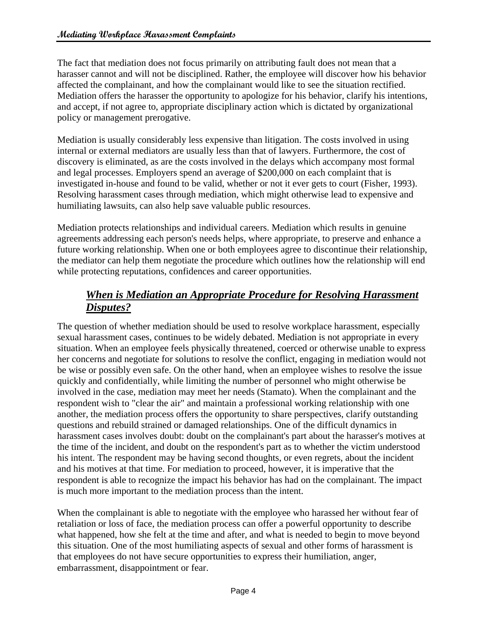The fact that mediation does not focus primarily on attributing fault does not mean that a harasser cannot and will not be disciplined. Rather, the employee will discover how his behavior affected the complainant, and how the complainant would like to see the situation rectified. Mediation offers the harasser the opportunity to apologize for his behavior, clarify his intentions, and accept, if not agree to, appropriate disciplinary action which is dictated by organizational policy or management prerogative.

Mediation is usually considerably less expensive than litigation. The costs involved in using internal or external mediators are usually less than that of lawyers. Furthermore, the cost of discovery is eliminated, as are the costs involved in the delays which accompany most formal and legal processes. Employers spend an average of \$200,000 on each complaint that is investigated in-house and found to be valid, whether or not it ever gets to court (Fisher, 1993). Resolving harassment cases through mediation, which might otherwise lead to expensive and humiliating lawsuits, can also help save valuable public resources.

Mediation protects relationships and individual careers. Mediation which results in genuine agreements addressing each person's needs helps, where appropriate, to preserve and enhance a future working relationship. When one or both employees agree to discontinue their relationship, the mediator can help them negotiate the procedure which outlines how the relationship will end while protecting reputations, confidences and career opportunities.

#### *When is Mediation an Appropriate Procedure for Resolving Harassment Disputes?*

The question of whether mediation should be used to resolve workplace harassment, especially sexual harassment cases, continues to be widely debated. Mediation is not appropriate in every situation. When an employee feels physically threatened, coerced or otherwise unable to express her concerns and negotiate for solutions to resolve the conflict, engaging in mediation would not be wise or possibly even safe. On the other hand, when an employee wishes to resolve the issue quickly and confidentially, while limiting the number of personnel who might otherwise be involved in the case, mediation may meet her needs (Stamato). When the complainant and the respondent wish to "clear the air" and maintain a professional working relationship with one another, the mediation process offers the opportunity to share perspectives, clarify outstanding questions and rebuild strained or damaged relationships. One of the difficult dynamics in harassment cases involves doubt: doubt on the complainant's part about the harasser's motives at the time of the incident, and doubt on the respondent's part as to whether the victim understood his intent. The respondent may be having second thoughts, or even regrets, about the incident and his motives at that time. For mediation to proceed, however, it is imperative that the respondent is able to recognize the impact his behavior has had on the complainant. The impact is much more important to the mediation process than the intent.

When the complainant is able to negotiate with the employee who harassed her without fear of retaliation or loss of face, the mediation process can offer a powerful opportunity to describe what happened, how she felt at the time and after, and what is needed to begin to move beyond this situation. One of the most humiliating aspects of sexual and other forms of harassment is that employees do not have secure opportunities to express their humiliation, anger, embarrassment, disappointment or fear.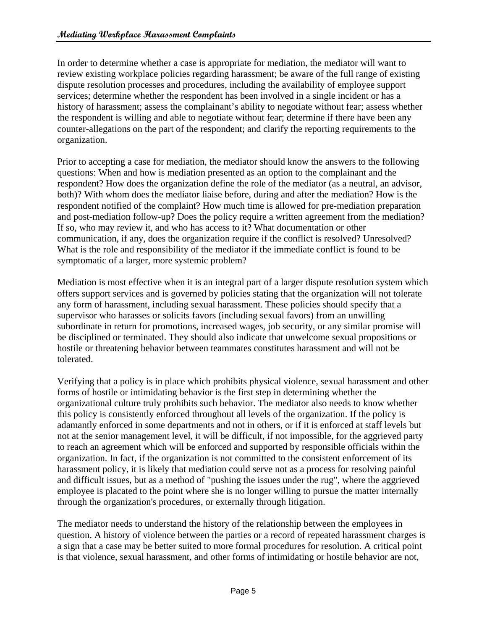In order to determine whether a case is appropriate for mediation, the mediator will want to review existing workplace policies regarding harassment; be aware of the full range of existing dispute resolution processes and procedures, including the availability of employee support services; determine whether the respondent has been involved in a single incident or has a history of harassment; assess the complainant's ability to negotiate without fear; assess whether the respondent is willing and able to negotiate without fear; determine if there have been any counter-allegations on the part of the respondent; and clarify the reporting requirements to the organization.

Prior to accepting a case for mediation, the mediator should know the answers to the following questions: When and how is mediation presented as an option to the complainant and the respondent? How does the organization define the role of the mediator (as a neutral, an advisor, both)? With whom does the mediator liaise before, during and after the mediation? How is the respondent notified of the complaint? How much time is allowed for pre-mediation preparation and post-mediation follow-up? Does the policy require a written agreement from the mediation? If so, who may review it, and who has access to it? What documentation or other communication, if any, does the organization require if the conflict is resolved? Unresolved? What is the role and responsibility of the mediator if the immediate conflict is found to be symptomatic of a larger, more systemic problem?

Mediation is most effective when it is an integral part of a larger dispute resolution system which offers support services and is governed by policies stating that the organization will not tolerate any form of harassment, including sexual harassment. These policies should specify that a supervisor who harasses or solicits favors (including sexual favors) from an unwilling subordinate in return for promotions, increased wages, job security, or any similar promise will be disciplined or terminated. They should also indicate that unwelcome sexual propositions or hostile or threatening behavior between teammates constitutes harassment and will not be tolerated.

Verifying that a policy is in place which prohibits physical violence, sexual harassment and other forms of hostile or intimidating behavior is the first step in determining whether the organizational culture truly prohibits such behavior. The mediator also needs to know whether this policy is consistently enforced throughout all levels of the organization. If the policy is adamantly enforced in some departments and not in others, or if it is enforced at staff levels but not at the senior management level, it will be difficult, if not impossible, for the aggrieved party to reach an agreement which will be enforced and supported by responsible officials within the organization. In fact, if the organization is not committed to the consistent enforcement of its harassment policy, it is likely that mediation could serve not as a process for resolving painful and difficult issues, but as a method of "pushing the issues under the rug", where the aggrieved employee is placated to the point where she is no longer willing to pursue the matter internally through the organization's procedures, or externally through litigation.

The mediator needs to understand the history of the relationship between the employees in question. A history of violence between the parties or a record of repeated harassment charges is a sign that a case may be better suited to more formal procedures for resolution. A critical point is that violence, sexual harassment, and other forms of intimidating or hostile behavior are not,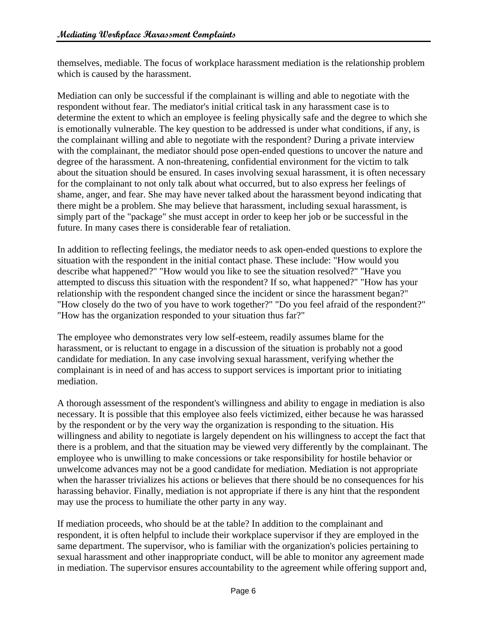themselves, mediable. The focus of workplace harassment mediation is the relationship problem which is caused by the harassment.

Mediation can only be successful if the complainant is willing and able to negotiate with the respondent without fear. The mediator's initial critical task in any harassment case is to determine the extent to which an employee is feeling physically safe and the degree to which she is emotionally vulnerable. The key question to be addressed is under what conditions, if any, is the complainant willing and able to negotiate with the respondent? During a private interview with the complainant, the mediator should pose open-ended questions to uncover the nature and degree of the harassment. A non-threatening, confidential environment for the victim to talk about the situation should be ensured. In cases involving sexual harassment, it is often necessary for the complainant to not only talk about what occurred, but to also express her feelings of shame, anger, and fear. She may have never talked about the harassment beyond indicating that there might be a problem. She may believe that harassment, including sexual harassment, is simply part of the "package" she must accept in order to keep her job or be successful in the future. In many cases there is considerable fear of retaliation.

In addition to reflecting feelings, the mediator needs to ask open-ended questions to explore the situation with the respondent in the initial contact phase. These include: "How would you describe what happened?" "How would you like to see the situation resolved?" "Have you attempted to discuss this situation with the respondent? If so, what happened?" "How has your relationship with the respondent changed since the incident or since the harassment began?" "How closely do the two of you have to work together?" "Do you feel afraid of the respondent?" "How has the organization responded to your situation thus far?"

The employee who demonstrates very low self-esteem, readily assumes blame for the harassment, or is reluctant to engage in a discussion of the situation is probably not a good candidate for mediation. In any case involving sexual harassment, verifying whether the complainant is in need of and has access to support services is important prior to initiating mediation.

A thorough assessment of the respondent's willingness and ability to engage in mediation is also necessary. It is possible that this employee also feels victimized, either because he was harassed by the respondent or by the very way the organization is responding to the situation. His willingness and ability to negotiate is largely dependent on his willingness to accept the fact that there is a problem, and that the situation may be viewed very differently by the complainant. The employee who is unwilling to make concessions or take responsibility for hostile behavior or unwelcome advances may not be a good candidate for mediation. Mediation is not appropriate when the harasser trivializes his actions or believes that there should be no consequences for his harassing behavior. Finally, mediation is not appropriate if there is any hint that the respondent may use the process to humiliate the other party in any way.

If mediation proceeds, who should be at the table? In addition to the complainant and respondent, it is often helpful to include their workplace supervisor if they are employed in the same department. The supervisor, who is familiar with the organization's policies pertaining to sexual harassment and other inappropriate conduct, will be able to monitor any agreement made in mediation. The supervisor ensures accountability to the agreement while offering support and,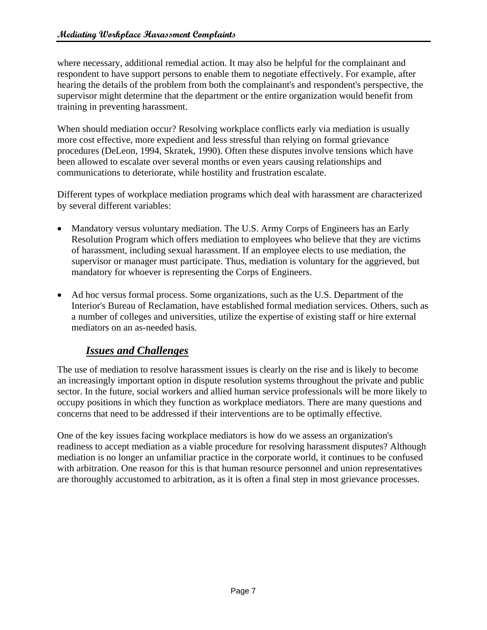where necessary, additional remedial action. It may also be helpful for the complainant and respondent to have support persons to enable them to negotiate effectively. For example, after hearing the details of the problem from both the complainant's and respondent's perspective, the supervisor might determine that the department or the entire organization would benefit from training in preventing harassment.

When should mediation occur? Resolving workplace conflicts early via mediation is usually more cost effective, more expedient and less stressful than relying on formal grievance procedures (DeLeon, 1994, Skratek, 1990). Often these disputes involve tensions which have been allowed to escalate over several months or even years causing relationships and communications to deteriorate, while hostility and frustration escalate.

Different types of workplace mediation programs which deal with harassment are characterized by several different variables:

- Mandatory versus voluntary mediation. The U.S. Army Corps of Engineers has an Early Resolution Program which offers mediation to employees who believe that they are victims of harassment, including sexual harassment. If an employee elects to use mediation, the supervisor or manager must participate. Thus, mediation is voluntary for the aggrieved, but mandatory for whoever is representing the Corps of Engineers.
- Ad hoc versus formal process. Some organizations, such as the U.S. Department of the Interior's Bureau of Reclamation, have established formal mediation services. Others, such as a number of colleges and universities, utilize the expertise of existing staff or hire external mediators on an as-needed basis.

## *Issues and Challenges*

The use of mediation to resolve harassment issues is clearly on the rise and is likely to become an increasingly important option in dispute resolution systems throughout the private and public sector. In the future, social workers and allied human service professionals will be more likely to occupy positions in which they function as workplace mediators. There are many questions and concerns that need to be addressed if their interventions are to be optimally effective.

One of the key issues facing workplace mediators is how do we assess an organization's readiness to accept mediation as a viable procedure for resolving harassment disputes? Although mediation is no longer an unfamiliar practice in the corporate world, it continues to be confused with arbitration. One reason for this is that human resource personnel and union representatives are thoroughly accustomed to arbitration, as it is often a final step in most grievance processes.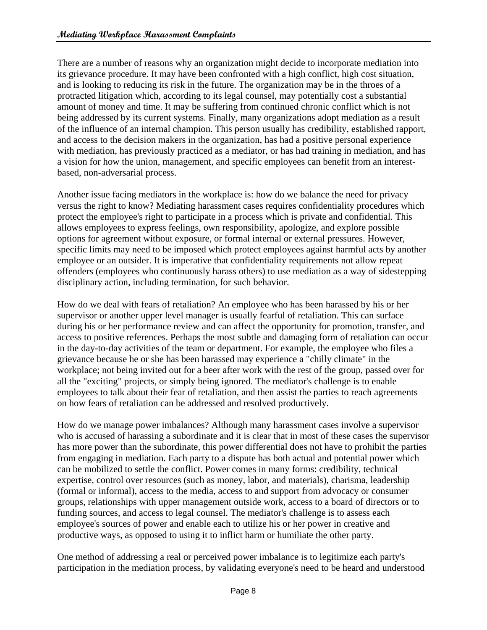There are a number of reasons why an organization might decide to incorporate mediation into its grievance procedure. It may have been confronted with a high conflict, high cost situation, and is looking to reducing its risk in the future. The organization may be in the throes of a protracted litigation which, according to its legal counsel, may potentially cost a substantial amount of money and time. It may be suffering from continued chronic conflict which is not being addressed by its current systems. Finally, many organizations adopt mediation as a result of the influence of an internal champion. This person usually has credibility, established rapport, and access to the decision makers in the organization, has had a positive personal experience with mediation, has previously practiced as a mediator, or has had training in mediation, and has a vision for how the union, management, and specific employees can benefit from an interestbased, non-adversarial process.

Another issue facing mediators in the workplace is: how do we balance the need for privacy versus the right to know? Mediating harassment cases requires confidentiality procedures which protect the employee's right to participate in a process which is private and confidential. This allows employees to express feelings, own responsibility, apologize, and explore possible options for agreement without exposure, or formal internal or external pressures. However, specific limits may need to be imposed which protect employees against harmful acts by another employee or an outsider. It is imperative that confidentiality requirements not allow repeat offenders (employees who continuously harass others) to use mediation as a way of sidestepping disciplinary action, including termination, for such behavior.

How do we deal with fears of retaliation? An employee who has been harassed by his or her supervisor or another upper level manager is usually fearful of retaliation. This can surface during his or her performance review and can affect the opportunity for promotion, transfer, and access to positive references. Perhaps the most subtle and damaging form of retaliation can occur in the day-to-day activities of the team or department. For example, the employee who files a grievance because he or she has been harassed may experience a "chilly climate" in the workplace; not being invited out for a beer after work with the rest of the group, passed over for all the "exciting" projects, or simply being ignored. The mediator's challenge is to enable employees to talk about their fear of retaliation, and then assist the parties to reach agreements on how fears of retaliation can be addressed and resolved productively.

How do we manage power imbalances? Although many harassment cases involve a supervisor who is accused of harassing a subordinate and it is clear that in most of these cases the supervisor has more power than the subordinate, this power differential does not have to prohibit the parties from engaging in mediation. Each party to a dispute has both actual and potential power which can be mobilized to settle the conflict. Power comes in many forms: credibility, technical expertise, control over resources (such as money, labor, and materials), charisma, leadership (formal or informal), access to the media, access to and support from advocacy or consumer groups, relationships with upper management outside work, access to a board of directors or to funding sources, and access to legal counsel. The mediator's challenge is to assess each employee's sources of power and enable each to utilize his or her power in creative and productive ways, as opposed to using it to inflict harm or humiliate the other party.

One method of addressing a real or perceived power imbalance is to legitimize each party's participation in the mediation process, by validating everyone's need to be heard and understood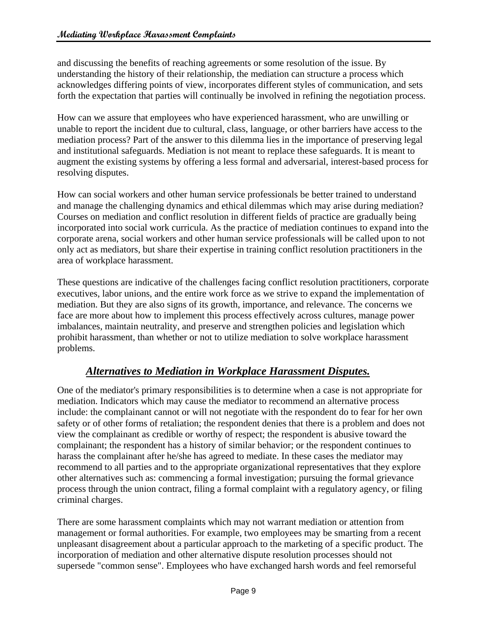and discussing the benefits of reaching agreements or some resolution of the issue. By understanding the history of their relationship, the mediation can structure a process which acknowledges differing points of view, incorporates different styles of communication, and sets forth the expectation that parties will continually be involved in refining the negotiation process.

How can we assure that employees who have experienced harassment, who are unwilling or unable to report the incident due to cultural, class, language, or other barriers have access to the mediation process? Part of the answer to this dilemma lies in the importance of preserving legal and institutional safeguards. Mediation is not meant to replace these safeguards. It is meant to augment the existing systems by offering a less formal and adversarial, interest-based process for resolving disputes.

How can social workers and other human service professionals be better trained to understand and manage the challenging dynamics and ethical dilemmas which may arise during mediation? Courses on mediation and conflict resolution in different fields of practice are gradually being incorporated into social work curricula. As the practice of mediation continues to expand into the corporate arena, social workers and other human service professionals will be called upon to not only act as mediators, but share their expertise in training conflict resolution practitioners in the area of workplace harassment.

These questions are indicative of the challenges facing conflict resolution practitioners, corporate executives, labor unions, and the entire work force as we strive to expand the implementation of mediation. But they are also signs of its growth, importance, and relevance. The concerns we face are more about how to implement this process effectively across cultures, manage power imbalances, maintain neutrality, and preserve and strengthen policies and legislation which prohibit harassment, than whether or not to utilize mediation to solve workplace harassment problems.

### *Alternatives to Mediation in Workplace Harassment Disputes.*

One of the mediator's primary responsibilities is to determine when a case is not appropriate for mediation. Indicators which may cause the mediator to recommend an alternative process include: the complainant cannot or will not negotiate with the respondent do to fear for her own safety or of other forms of retaliation; the respondent denies that there is a problem and does not view the complainant as credible or worthy of respect; the respondent is abusive toward the complainant; the respondent has a history of similar behavior; or the respondent continues to harass the complainant after he/she has agreed to mediate. In these cases the mediator may recommend to all parties and to the appropriate organizational representatives that they explore other alternatives such as: commencing a formal investigation; pursuing the formal grievance process through the union contract, filing a formal complaint with a regulatory agency, or filing criminal charges.

There are some harassment complaints which may not warrant mediation or attention from management or formal authorities. For example, two employees may be smarting from a recent unpleasant disagreement about a particular approach to the marketing of a specific product. The incorporation of mediation and other alternative dispute resolution processes should not supersede "common sense". Employees who have exchanged harsh words and feel remorseful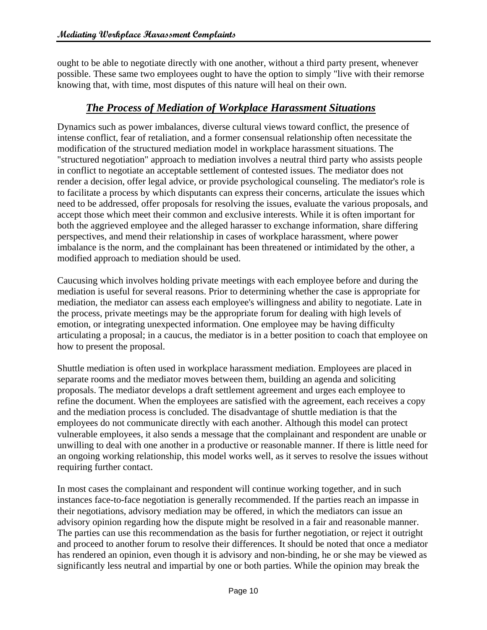ought to be able to negotiate directly with one another, without a third party present, whenever possible. These same two employees ought to have the option to simply "live with their remorse knowing that, with time, most disputes of this nature will heal on their own.

#### *The Process of Mediation of Workplace Harassment Situations*

Dynamics such as power imbalances, diverse cultural views toward conflict, the presence of intense conflict, fear of retaliation, and a former consensual relationship often necessitate the modification of the structured mediation model in workplace harassment situations. The "structured negotiation" approach to mediation involves a neutral third party who assists people in conflict to negotiate an acceptable settlement of contested issues. The mediator does not render a decision, offer legal advice, or provide psychological counseling. The mediator's role is to facilitate a process by which disputants can express their concerns, articulate the issues which need to be addressed, offer proposals for resolving the issues, evaluate the various proposals, and accept those which meet their common and exclusive interests. While it is often important for both the aggrieved employee and the alleged harasser to exchange information, share differing perspectives, and mend their relationship in cases of workplace harassment, where power imbalance is the norm, and the complainant has been threatened or intimidated by the other, a modified approach to mediation should be used.

Caucusing which involves holding private meetings with each employee before and during the mediation is useful for several reasons. Prior to determining whether the case is appropriate for mediation, the mediator can assess each employee's willingness and ability to negotiate. Late in the process, private meetings may be the appropriate forum for dealing with high levels of emotion, or integrating unexpected information. One employee may be having difficulty articulating a proposal; in a caucus, the mediator is in a better position to coach that employee on how to present the proposal.

Shuttle mediation is often used in workplace harassment mediation. Employees are placed in separate rooms and the mediator moves between them, building an agenda and soliciting proposals. The mediator develops a draft settlement agreement and urges each employee to refine the document. When the employees are satisfied with the agreement, each receives a copy and the mediation process is concluded. The disadvantage of shuttle mediation is that the employees do not communicate directly with each another. Although this model can protect vulnerable employees, it also sends a message that the complainant and respondent are unable or unwilling to deal with one another in a productive or reasonable manner. If there is little need for an ongoing working relationship, this model works well, as it serves to resolve the issues without requiring further contact.

In most cases the complainant and respondent will continue working together, and in such instances face-to-face negotiation is generally recommended. If the parties reach an impasse in their negotiations, advisory mediation may be offered, in which the mediators can issue an advisory opinion regarding how the dispute might be resolved in a fair and reasonable manner. The parties can use this recommendation as the basis for further negotiation, or reject it outright and proceed to another forum to resolve their differences. It should be noted that once a mediator has rendered an opinion, even though it is advisory and non-binding, he or she may be viewed as significantly less neutral and impartial by one or both parties. While the opinion may break the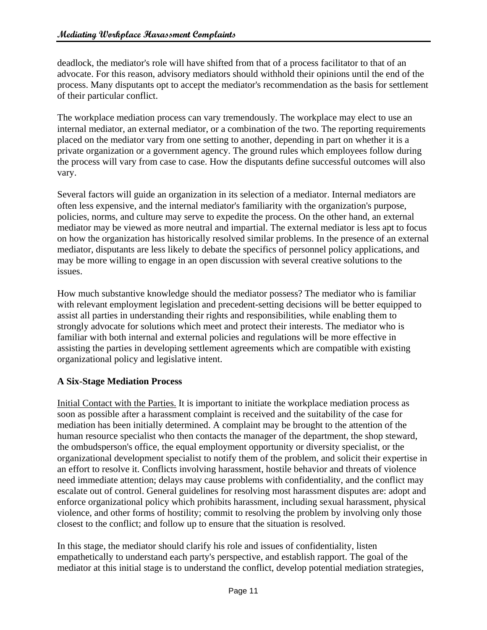deadlock, the mediator's role will have shifted from that of a process facilitator to that of an advocate. For this reason, advisory mediators should withhold their opinions until the end of the process. Many disputants opt to accept the mediator's recommendation as the basis for settlement of their particular conflict.

The workplace mediation process can vary tremendously. The workplace may elect to use an internal mediator, an external mediator, or a combination of the two. The reporting requirements placed on the mediator vary from one setting to another, depending in part on whether it is a private organization or a government agency. The ground rules which employees follow during the process will vary from case to case. How the disputants define successful outcomes will also vary.

Several factors will guide an organization in its selection of a mediator. Internal mediators are often less expensive, and the internal mediator's familiarity with the organization's purpose, policies, norms, and culture may serve to expedite the process. On the other hand, an external mediator may be viewed as more neutral and impartial. The external mediator is less apt to focus on how the organization has historically resolved similar problems. In the presence of an external mediator, disputants are less likely to debate the specifics of personnel policy applications, and may be more willing to engage in an open discussion with several creative solutions to the issues.

How much substantive knowledge should the mediator possess? The mediator who is familiar with relevant employment legislation and precedent-setting decisions will be better equipped to assist all parties in understanding their rights and responsibilities, while enabling them to strongly advocate for solutions which meet and protect their interests. The mediator who is familiar with both internal and external policies and regulations will be more effective in assisting the parties in developing settlement agreements which are compatible with existing organizational policy and legislative intent.

#### **A Six-Stage Mediation Process**

Initial Contact with the Parties. It is important to initiate the workplace mediation process as soon as possible after a harassment complaint is received and the suitability of the case for mediation has been initially determined. A complaint may be brought to the attention of the human resource specialist who then contacts the manager of the department, the shop steward, the ombudsperson's office, the equal employment opportunity or diversity specialist, or the organizational development specialist to notify them of the problem, and solicit their expertise in an effort to resolve it. Conflicts involving harassment, hostile behavior and threats of violence need immediate attention; delays may cause problems with confidentiality, and the conflict may escalate out of control. General guidelines for resolving most harassment disputes are: adopt and enforce organizational policy which prohibits harassment, including sexual harassment, physical violence, and other forms of hostility; commit to resolving the problem by involving only those closest to the conflict; and follow up to ensure that the situation is resolved.

In this stage, the mediator should clarify his role and issues of confidentiality, listen empathetically to understand each party's perspective, and establish rapport. The goal of the mediator at this initial stage is to understand the conflict, develop potential mediation strategies,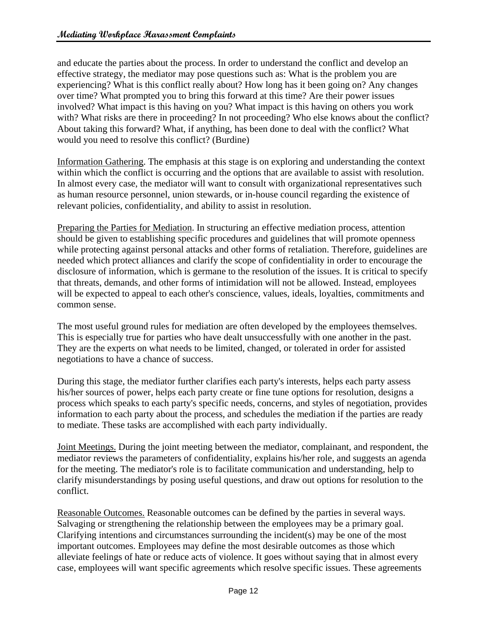and educate the parties about the process. In order to understand the conflict and develop an effective strategy, the mediator may pose questions such as: What is the problem you are experiencing? What is this conflict really about? How long has it been going on? Any changes over time? What prompted you to bring this forward at this time? Are their power issues involved? What impact is this having on you? What impact is this having on others you work with? What risks are there in proceeding? In not proceeding? Who else knows about the conflict? About taking this forward? What, if anything, has been done to deal with the conflict? What would you need to resolve this conflict? (Burdine)

Information Gathering. The emphasis at this stage is on exploring and understanding the context within which the conflict is occurring and the options that are available to assist with resolution. In almost every case, the mediator will want to consult with organizational representatives such as human resource personnel, union stewards, or in-house council regarding the existence of relevant policies, confidentiality, and ability to assist in resolution.

Preparing the Parties for Mediation. In structuring an effective mediation process, attention should be given to establishing specific procedures and guidelines that will promote openness while protecting against personal attacks and other forms of retaliation. Therefore, guidelines are needed which protect alliances and clarify the scope of confidentiality in order to encourage the disclosure of information, which is germane to the resolution of the issues. It is critical to specify that threats, demands, and other forms of intimidation will not be allowed. Instead, employees will be expected to appeal to each other's conscience, values, ideals, loyalties, commitments and common sense.

The most useful ground rules for mediation are often developed by the employees themselves. This is especially true for parties who have dealt unsuccessfully with one another in the past. They are the experts on what needs to be limited, changed, or tolerated in order for assisted negotiations to have a chance of success.

During this stage, the mediator further clarifies each party's interests, helps each party assess his/her sources of power, helps each party create or fine tune options for resolution, designs a process which speaks to each party's specific needs, concerns, and styles of negotiation, provides information to each party about the process, and schedules the mediation if the parties are ready to mediate. These tasks are accomplished with each party individually.

Joint Meetings. During the joint meeting between the mediator, complainant, and respondent, the mediator reviews the parameters of confidentiality, explains his/her role, and suggests an agenda for the meeting. The mediator's role is to facilitate communication and understanding, help to clarify misunderstandings by posing useful questions, and draw out options for resolution to the conflict.

Reasonable Outcomes. Reasonable outcomes can be defined by the parties in several ways. Salvaging or strengthening the relationship between the employees may be a primary goal. Clarifying intentions and circumstances surrounding the incident(s) may be one of the most important outcomes. Employees may define the most desirable outcomes as those which alleviate feelings of hate or reduce acts of violence. It goes without saying that in almost every case, employees will want specific agreements which resolve specific issues. These agreements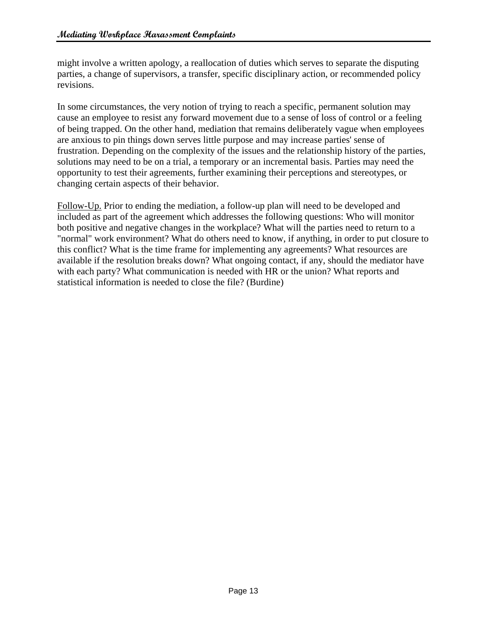might involve a written apology, a reallocation of duties which serves to separate the disputing parties, a change of supervisors, a transfer, specific disciplinary action, or recommended policy revisions.

In some circumstances, the very notion of trying to reach a specific, permanent solution may cause an employee to resist any forward movement due to a sense of loss of control or a feeling of being trapped. On the other hand, mediation that remains deliberately vague when employees are anxious to pin things down serves little purpose and may increase parties' sense of frustration. Depending on the complexity of the issues and the relationship history of the parties, solutions may need to be on a trial, a temporary or an incremental basis. Parties may need the opportunity to test their agreements, further examining their perceptions and stereotypes, or changing certain aspects of their behavior.

Follow-Up. Prior to ending the mediation, a follow-up plan will need to be developed and included as part of the agreement which addresses the following questions: Who will monitor both positive and negative changes in the workplace? What will the parties need to return to a "normal" work environment? What do others need to know, if anything, in order to put closure to this conflict? What is the time frame for implementing any agreements? What resources are available if the resolution breaks down? What ongoing contact, if any, should the mediator have with each party? What communication is needed with HR or the union? What reports and statistical information is needed to close the file? (Burdine)